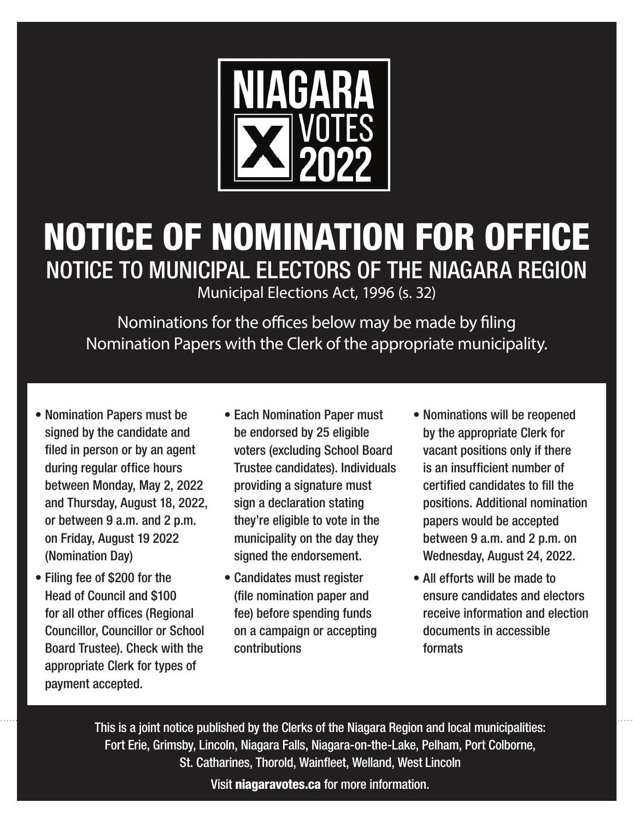

## NOTICE OF NOMINATION FOR OFFICE NOTICE TO MUNICIPAL ELECTORS OF THE NIAGARA REGION

Municipal Elections Act, 1996 (s. 32)

Nominations for the offices below may be made by filing Nomination Papers with the Clerk of the appropriate municipality.

- Nomination Papers must be signed by the candidate and filed in person or by an agent during regular office hours between Monday, May 2, 2022 and Thursday, August 18, 2022, or between 9 a.m. and 2 p.m. on Friday, August 19 2022 (Nomination Day)
- Filing fee of \$200 for the Head of Council and \$100 for all other offices (Regional Councillor, Councillor or School Board Trustee). Check with the appropriate Clerk for types of payment accepted.
- Each Nomination Paper must be endorsed by 25 eligible voters (excluding School Board Trustee candidates). Individuals providing a signature must sign a declaration stating they're eligible to vote in the municipality on the day they signed the endorsement.
- Candidates must register (file nomination paper and fee) before spending funds on a campaign or accepting contributions
- Nominations will be reopened by the appropriate Clerk for vacant positions only if there is an insufficient number of certified candidates to fill the positions. Additional nomination papers would be accepted between 9 a.m. and 2 p.m. on Wednesday, August 24, 2022.
- All efforts will be made to ensure candidates and electors receive information and election documents in accessible formats

This is a joint notice published by the Clerks of the Niagara Region and local municipalities: Fort Erie, Grimsby, Lincoln, Niagara Falls, Niagara-on-the-Lake, Pelham, Port Colborne, St. Catharines, Thorold, Wainfleet, Welland, West Lincoln

Visit niagaravotes.ca for more information.